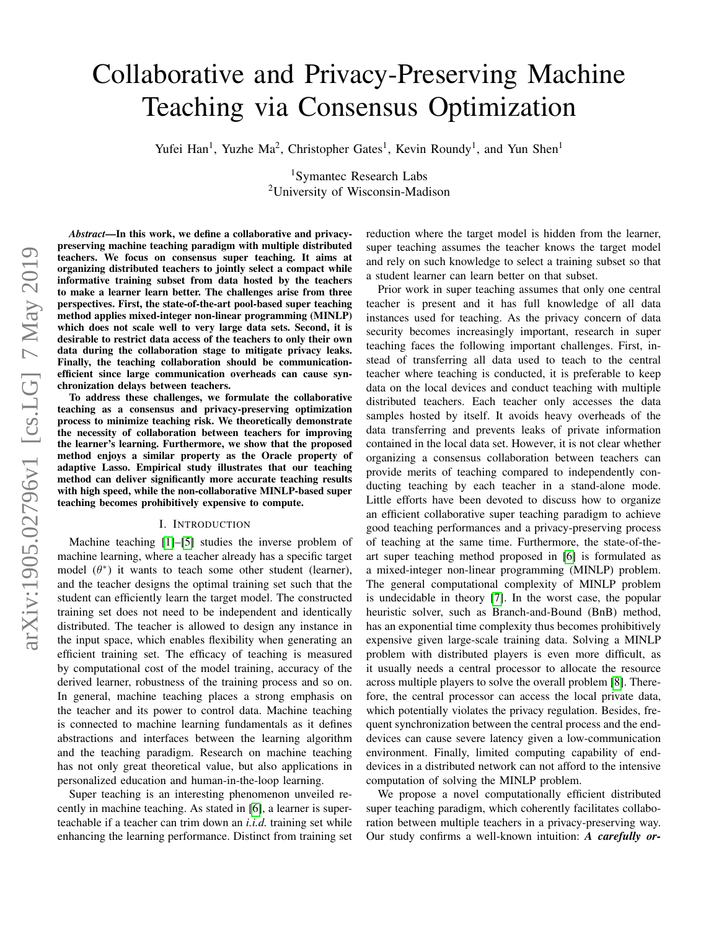# Collaborative and Privacy-Preserving Machine Teaching via Consensus Optimization

Yufei Han<sup>1</sup>, Yuzhe Ma<sup>2</sup>, Christopher Gates<sup>1</sup>, Kevin Roundy<sup>1</sup>, and Yun Shen<sup>1</sup>

<sup>1</sup>Symantec Research Labs <sup>2</sup>University of Wisconsin-Madison

*Abstract*—In this work, we define a collaborative and privacypreserving machine teaching paradigm with multiple distributed teachers. We focus on consensus super teaching. It aims at organizing distributed teachers to jointly select a compact while informative training subset from data hosted by the teachers to make a learner learn better. The challenges arise from three perspectives. First, the state-of-the-art pool-based super teaching method applies mixed-integer non-linear programming (MINLP) which does not scale well to very large data sets. Second, it is desirable to restrict data access of the teachers to only their own data during the collaboration stage to mitigate privacy leaks. Finally, the teaching collaboration should be communicationefficient since large communication overheads can cause synchronization delays between teachers.

To address these challenges, we formulate the collaborative teaching as a consensus and privacy-preserving optimization process to minimize teaching risk. We theoretically demonstrate the necessity of collaboration between teachers for improving the learner's learning. Furthermore, we show that the proposed method enjoys a similar property as the Oracle property of adaptive Lasso. Empirical study illustrates that our teaching method can deliver significantly more accurate teaching results with high speed, while the non-collaborative MINLP-based super teaching becomes prohibitively expensive to compute.

## I. INTRODUCTION

Machine teaching [\[1\]](#page-7-0)–[\[5\]](#page-7-1) studies the inverse problem of machine learning, where a teacher already has a specific target model  $(\theta^*)$  it wants to teach some other student (learner), and the teacher designs the optimal training set such that the student can efficiently learn the target model. The constructed training set does not need to be independent and identically distributed. The teacher is allowed to design any instance in the input space, which enables flexibility when generating an efficient training set. The efficacy of teaching is measured by computational cost of the model training, accuracy of the derived learner, robustness of the training process and so on. In general, machine teaching places a strong emphasis on the teacher and its power to control data. Machine teaching is connected to machine learning fundamentals as it defines abstractions and interfaces between the learning algorithm and the teaching paradigm. Research on machine teaching has not only great theoretical value, but also applications in personalized education and human-in-the-loop learning.

Super teaching is an interesting phenomenon unveiled recently in machine teaching. As stated in [\[6\]](#page-7-2), a learner is superteachable if a teacher can trim down an *i.i.d.* training set while enhancing the learning performance. Distinct from training set reduction where the target model is hidden from the learner, super teaching assumes the teacher knows the target model and rely on such knowledge to select a training subset so that a student learner can learn better on that subset.

Prior work in super teaching assumes that only one central teacher is present and it has full knowledge of all data instances used for teaching. As the privacy concern of data security becomes increasingly important, research in super teaching faces the following important challenges. First, instead of transferring all data used to teach to the central teacher where teaching is conducted, it is preferable to keep data on the local devices and conduct teaching with multiple distributed teachers. Each teacher only accesses the data samples hosted by itself. It avoids heavy overheads of the data transferring and prevents leaks of private information contained in the local data set. However, it is not clear whether organizing a consensus collaboration between teachers can provide merits of teaching compared to independently conducting teaching by each teacher in a stand-alone mode. Little efforts have been devoted to discuss how to organize an efficient collaborative super teaching paradigm to achieve good teaching performances and a privacy-preserving process of teaching at the same time. Furthermore, the state-of-theart super teaching method proposed in [\[6\]](#page-7-2) is formulated as a mixed-integer non-linear programming (MINLP) problem. The general computational complexity of MINLP problem is undecidable in theory [\[7\]](#page-7-3). In the worst case, the popular heuristic solver, such as Branch-and-Bound (BnB) method, has an exponential time complexity thus becomes prohibitively expensive given large-scale training data. Solving a MINLP problem with distributed players is even more difficult, as it usually needs a central processor to allocate the resource across multiple players to solve the overall problem [\[8\]](#page-7-4). Therefore, the central processor can access the local private data, which potentially violates the privacy regulation. Besides, frequent synchronization between the central process and the enddevices can cause severe latency given a low-communication environment. Finally, limited computing capability of enddevices in a distributed network can not afford to the intensive computation of solving the MINLP problem.

We propose a novel computationally efficient distributed super teaching paradigm, which coherently facilitates collaboration between multiple teachers in a privacy-preserving way. Our study confirms a well-known intuition: *A carefully or-*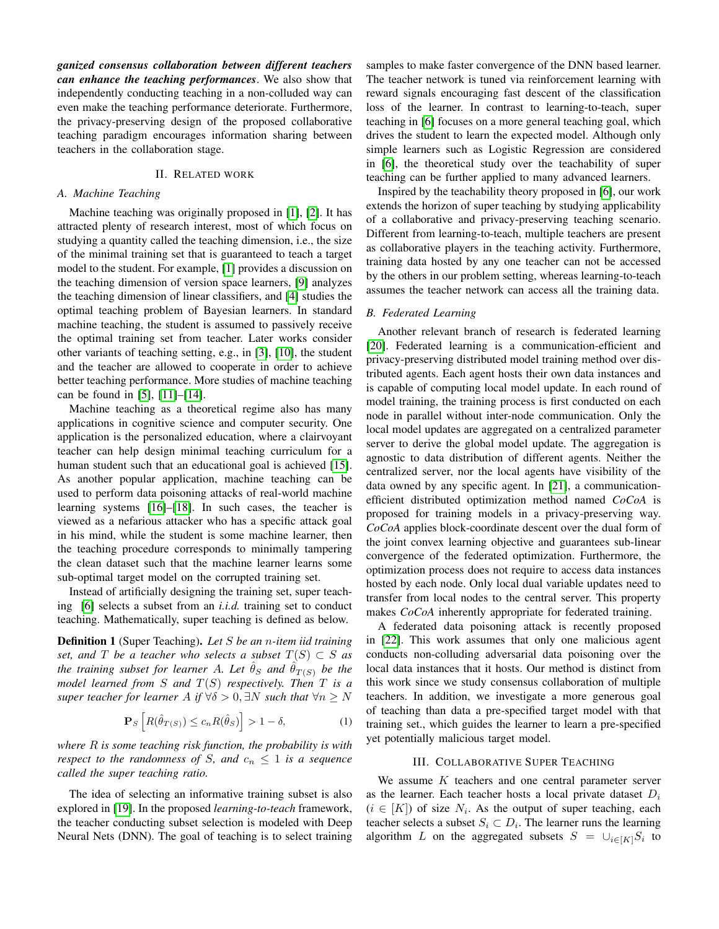*ganized consensus collaboration between different teachers can enhance the teaching performances*. We also show that independently conducting teaching in a non-colluded way can even make the teaching performance deteriorate. Furthermore, the privacy-preserving design of the proposed collaborative teaching paradigm encourages information sharing between teachers in the collaboration stage.

## II. RELATED WORK

#### *A. Machine Teaching*

Machine teaching was originally proposed in [\[1\]](#page-7-0), [\[2\]](#page-7-5). It has attracted plenty of research interest, most of which focus on studying a quantity called the teaching dimension, i.e., the size of the minimal training set that is guaranteed to teach a target model to the student. For example, [\[1\]](#page-7-0) provides a discussion on the teaching dimension of version space learners, [\[9\]](#page-7-6) analyzes the teaching dimension of linear classifiers, and [\[4\]](#page-7-7) studies the optimal teaching problem of Bayesian learners. In standard machine teaching, the student is assumed to passively receive the optimal training set from teacher. Later works consider other variants of teaching setting, e.g., in [\[3\]](#page-7-8), [\[10\]](#page-7-9), the student and the teacher are allowed to cooperate in order to achieve better teaching performance. More studies of machine teaching can be found in [\[5\]](#page-7-1), [\[11\]](#page-7-10)–[\[14\]](#page-7-11).

Machine teaching as a theoretical regime also has many applications in cognitive science and computer security. One application is the personalized education, where a clairvoyant teacher can help design minimal teaching curriculum for a human student such that an educational goal is achieved [\[15\]](#page-7-12). As another popular application, machine teaching can be used to perform data poisoning attacks of real-world machine learning systems [\[16\]](#page-7-13)–[\[18\]](#page-7-14). In such cases, the teacher is viewed as a nefarious attacker who has a specific attack goal in his mind, while the student is some machine learner, then the teaching procedure corresponds to minimally tampering the clean dataset such that the machine learner learns some sub-optimal target model on the corrupted training set.

Instead of artificially designing the training set, super teaching [\[6\]](#page-7-2) selects a subset from an *i.i.d.* training set to conduct teaching. Mathematically, super teaching is defined as below.

Definition 1 (Super Teaching). *Let* S *be an* n*-item iid training set, and*  $T$  *be a teacher who selects a subset*  $T(S) \subset S$  *as the training subset for learner* A. Let  $\hat{\theta}_S$  *and*  $\hat{\theta}_{T(S)}$  *be the model learned from* S *and* T(S) *respectively. Then* T *is a super teacher for learner* A *if*  $\forall \delta > 0$ ,  $\exists N$  *such that*  $\forall n \geq N$ 

$$
\mathbf{P}_S \left[ R(\hat{\theta}_{T(S)}) \le c_n R(\hat{\theta}_S) \right] > 1 - \delta,\tag{1}
$$

*where* R *is some teaching risk function, the probability is with respect to the randomness of* S, and  $c_n \leq 1$  *is a sequence called the super teaching ratio.*

The idea of selecting an informative training subset is also explored in [\[19\]](#page-7-15). In the proposed *learning-to-teach* framework, the teacher conducting subset selection is modeled with Deep Neural Nets (DNN). The goal of teaching is to select training samples to make faster convergence of the DNN based learner. The teacher network is tuned via reinforcement learning with reward signals encouraging fast descent of the classification loss of the learner. In contrast to learning-to-teach, super teaching in [\[6\]](#page-7-2) focuses on a more general teaching goal, which drives the student to learn the expected model. Although only simple learners such as Logistic Regression are considered in [\[6\]](#page-7-2), the theoretical study over the teachability of super teaching can be further applied to many advanced learners.

Inspired by the teachability theory proposed in [\[6\]](#page-7-2), our work extends the horizon of super teaching by studying applicability of a collaborative and privacy-preserving teaching scenario. Different from learning-to-teach, multiple teachers are present as collaborative players in the teaching activity. Furthermore, training data hosted by any one teacher can not be accessed by the others in our problem setting, whereas learning-to-teach assumes the teacher network can access all the training data.

#### *B. Federated Learning*

Another relevant branch of research is federated learning [\[20\]](#page-7-16). Federated learning is a communication-efficient and privacy-preserving distributed model training method over distributed agents. Each agent hosts their own data instances and is capable of computing local model update. In each round of model training, the training process is first conducted on each node in parallel without inter-node communication. Only the local model updates are aggregated on a centralized parameter server to derive the global model update. The aggregation is agnostic to data distribution of different agents. Neither the centralized server, nor the local agents have visibility of the data owned by any specific agent. In [\[21\]](#page-7-17), a communicationefficient distributed optimization method named *CoCoA* is proposed for training models in a privacy-preserving way. *CoCoA* applies block-coordinate descent over the dual form of the joint convex learning objective and guarantees sub-linear convergence of the federated optimization. Furthermore, the optimization process does not require to access data instances hosted by each node. Only local dual variable updates need to transfer from local nodes to the central server. This property makes *CoCoA* inherently appropriate for federated training.

A federated data poisoning attack is recently proposed in [\[22\]](#page-7-18). This work assumes that only one malicious agent conducts non-colluding adversarial data poisoning over the local data instances that it hosts. Our method is distinct from this work since we study consensus collaboration of multiple teachers. In addition, we investigate a more generous goal of teaching than data a pre-specified target model with that training set., which guides the learner to learn a pre-specified yet potentially malicious target model.

# III. COLLABORATIVE SUPER TEACHING

We assume  $K$  teachers and one central parameter server as the learner. Each teacher hosts a local private dataset  $D_i$  $(i \in [K])$  of size  $N_i$ . As the output of super teaching, each teacher selects a subset  $S_i \subset D_i$ . The learner runs the learning algorithm L on the aggregated subsets  $S = \bigcup_{i \in [K]} S_i$  to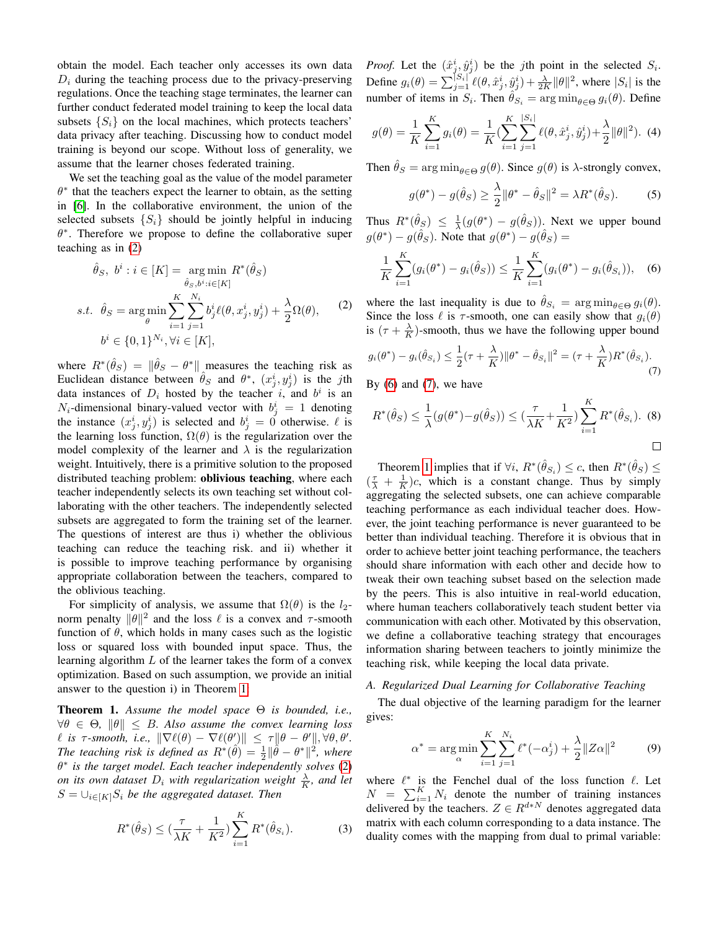obtain the model. Each teacher only accesses its own data  $D_i$  during the teaching process due to the privacy-preserving regulations. Once the teaching stage terminates, the learner can further conduct federated model training to keep the local data subsets  $\{S_i\}$  on the local machines, which protects teachers' data privacy after teaching. Discussing how to conduct model training is beyond our scope. Without loss of generality, we assume that the learner choses federated training.

We set the teaching goal as the value of the model parameter  $\theta^*$  that the teachers expect the learner to obtain, as the setting in [\[6\]](#page-7-2). In the collaborative environment, the union of the selected subsets  $\{S_i\}$  should be jointly helpful in inducing  $\theta^*$ . Therefore we propose to define the collaborative super teaching as in [\(2\)](#page-2-0)

<span id="page-2-0"></span>
$$
\hat{\theta}_S, b^i : i \in [K] = \underset{\hat{\theta}_S, b^i : i \in [K]}{\arg \min} R^*(\hat{\theta}_S)
$$
  
s.t. 
$$
\hat{\theta}_S = \underset{\theta}{\arg \min} \sum_{i=1}^K \sum_{j=1}^{N_i} b^i_j \ell(\theta, x^i_j, y^i_j) + \frac{\lambda}{2} \Omega(\theta),
$$
 (2)  

$$
b^i \in \{0, 1\}^{N_i}, \forall i \in [K],
$$

where  $R^*(\hat{\theta}_S) = \|\hat{\theta}_S - \theta^*\|$  measures the teaching risk as Euclidean distance between  $\hat{\theta}_S$  and  $\theta^*$ ,  $(x_j^i, y_j^i)$  is the *j*th data instances of  $D_i$  hosted by the teacher i, and  $b^i$  is an  $N_i$ -dimensional binary-valued vector with  $b_j^i = 1$  denoting the instance  $(x_j^i, y_j^i)$  is selected and  $b_j^i = 0$  otherwise.  $\ell$  is the learning loss function,  $\Omega(\theta)$  is the regularization over the model complexity of the learner and  $\lambda$  is the regularization weight. Intuitively, there is a primitive solution to the proposed distributed teaching problem: **oblivious teaching**, where each teacher independently selects its own teaching set without collaborating with the other teachers. The independently selected subsets are aggregated to form the training set of the learner. The questions of interest are thus i) whether the oblivious teaching can reduce the teaching risk. and ii) whether it is possible to improve teaching performance by organising appropriate collaboration between the teachers, compared to the oblivious teaching.

For simplicity of analysis, we assume that  $\Omega(\theta)$  is the  $l_2$ norm penalty  $\|\theta\|^2$  and the loss  $\ell$  is a convex and  $\tau$ -smooth function of  $\theta$ , which holds in many cases such as the logistic loss or squared loss with bounded input space. Thus, the learning algorithm  $L$  of the learner takes the form of a convex optimization. Based on such assumption, we provide an initial answer to the question i) in Theorem [1:](#page-2-1)

<span id="page-2-1"></span>Theorem 1. *Assume the model space* Θ *is bounded, i.e.,*  $\forall \theta \in \Theta$ ,  $\|\theta\| \leq B$ . Also assume the convex learning loss  $\ell$  is  $\tau$ -smooth, i.e.,  $\|\nabla \ell(\theta) - \nabla \ell(\theta')\| \leq \tau \|\theta - \theta'\|, \forall \theta, \theta'.$ *The teaching risk is defined as*  $R^*(\hat{\theta}) = \frac{1}{2} ||\hat{\theta} - \theta^*||^2$ , where θ ∗ *is the target model. Each teacher independently solves* [\(2\)](#page-2-0) *on its own dataset*  $D_i$  *with regularization weight*  $\frac{\lambda}{K}$ *, and let*  $S = \bigcup_{i \in [K]} S_i$  *be the aggregated dataset. Then* 

$$
R^*(\hat{\theta}_S) \le (\frac{\tau}{\lambda K} + \frac{1}{K^2}) \sum_{i=1}^K R^*(\hat{\theta}_{S_i}).
$$
 (3)

*Proof.* Let the  $(\hat{x}_j^i, \hat{y}_j^i)$  be the *j*th point in the selected  $S_i$ . Define  $g_i(\theta) = \sum_{j=1}^{|S_i|} \ell(\theta, \hat{x}_j^i, \hat{y}_j^i) + \frac{\lambda}{2K} ||\theta||^2$ , where  $|S_i|$  is the number of items in  $S_i$ . Then  $\hat{\theta}_{S_i} = \arg \min_{\theta \in \Theta} g_i(\theta)$ . Define

$$
g(\theta) = \frac{1}{K} \sum_{i=1}^{K} g_i(\theta) = \frac{1}{K} \left( \sum_{i=1}^{K} \sum_{j=1}^{|S_i|} \ell(\theta, \hat{x}_j^i, \hat{y}_j^i) + \frac{\lambda}{2} ||\theta||^2 \right).
$$
 (4)

Then  $\hat{\theta}_S = \arg \min_{\theta \in \Theta} g(\theta)$ . Since  $g(\theta)$  is  $\lambda$ -strongly convex,

$$
g(\theta^*) - g(\hat{\theta}_S) \ge \frac{\lambda}{2} \|\theta^* - \hat{\theta}_S\|^2 = \lambda R^*(\hat{\theta}_S). \tag{5}
$$

Thus  $R^*(\hat{\theta}_S) \leq \frac{1}{\lambda} (g(\theta^*) - g(\hat{\theta}_S))$ . Next we upper bound  $g(\theta^*) - g(\hat{\theta}_s)$ . Note that  $g(\theta^*) - g(\hat{\theta}_s) =$ 

<span id="page-2-2"></span>
$$
\frac{1}{K} \sum_{i=1}^{K} (g_i(\theta^*) - g_i(\hat{\theta}_S)) \le \frac{1}{K} \sum_{i=1}^{K} (g_i(\theta^*) - g_i(\hat{\theta}_{S_i})), \quad (6)
$$

where the last inequality is due to  $\hat{\theta}_{S_i} = \arg \min_{\theta \in \Theta} g_i(\theta)$ . Since the loss  $\ell$  is  $\tau$ -smooth, one can easily show that  $g_i(\theta)$ is  $(\tau + \frac{\lambda}{K})$ -smooth, thus we have the following upper bound

<span id="page-2-3"></span>
$$
g_i(\theta^*) - g_i(\hat{\theta}_{S_i}) \le \frac{1}{2}(\tau + \frac{\lambda}{K}) ||\theta^* - \hat{\theta}_{S_i}||^2 = (\tau + \frac{\lambda}{K})R^*(\hat{\theta}_{S_i}).
$$
\n(7)

By  $(6)$  and  $(7)$ , we have

$$
R^*(\hat{\theta}_S) \le \frac{1}{\lambda} (g(\theta^*) - g(\hat{\theta}_S)) \le (\frac{\tau}{\lambda K} + \frac{1}{K^2}) \sum_{i=1}^K R^*(\hat{\theta}_{S_i}).
$$
 (8)

Theorem [1](#page-2-1) implies that if  $\forall i$ ,  $R^*(\hat{\theta}_{S_i}) \leq c$ , then  $R^*(\hat{\theta}_{S_i}) \leq c$  $(\frac{\tau}{\lambda} + \frac{1}{K})c$ , which is a constant change. Thus by simply aggregating the selected subsets, one can achieve comparable teaching performance as each individual teacher does. However, the joint teaching performance is never guaranteed to be better than individual teaching. Therefore it is obvious that in order to achieve better joint teaching performance, the teachers should share information with each other and decide how to tweak their own teaching subset based on the selection made by the peers. This is also intuitive in real-world education, where human teachers collaboratively teach student better via communication with each other. Motivated by this observation, we define a collaborative teaching strategy that encourages information sharing between teachers to jointly minimize the teaching risk, while keeping the local data private.

## *A. Regularized Dual Learning for Collaborative Teaching*

The dual objective of the learning paradigm for the learner gives:

<span id="page-2-4"></span>
$$
\alpha^* = \underset{\alpha}{\arg\min} \sum_{i=1}^K \sum_{j=1}^{N_i} \ell^*(-\alpha_j^i) + \frac{\lambda}{2} \|Z\alpha\|^2 \tag{9}
$$

where  $\ell^*$  is the Fenchel dual of the loss function  $\ell$ . Let  $N = \sum_{i=1}^{K} N_i$  denote the number of training instances delivered by the teachers.  $Z \in R^{d*N}$  denotes aggregated data matrix with each column corresponding to a data instance. The duality comes with the mapping from dual to primal variable: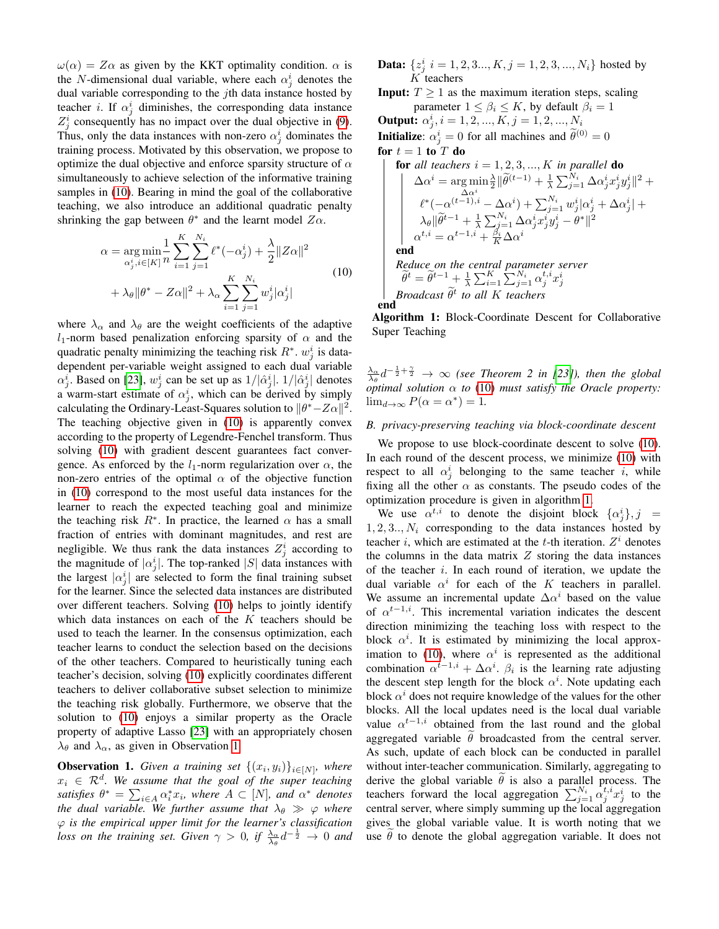$\omega(\alpha) = Z\alpha$  as given by the KKT optimality condition.  $\alpha$  is the N-dimensional dual variable, where each  $\alpha_j^i$  denotes the dual variable corresponding to the  $j$ th data instance hosted by teacher *i*. If  $\alpha_j^i$  diminishes, the corresponding data instance  $Z_j^i$  consequently has no impact over the dual objective in [\(9\)](#page-2-4). Thus, only the data instances with non-zero  $\alpha_j^i$  dominates the training process. Motivated by this observation, we propose to optimize the dual objective and enforce sparsity structure of  $\alpha$ simultaneously to achieve selection of the informative training samples in  $(10)$ . Bearing in mind the goal of the collaborative teaching, we also introduce an additional quadratic penalty shrinking the gap between  $\theta^*$  and the learnt model  $Z\alpha$ .

<span id="page-3-0"></span>
$$
\alpha = \underset{\alpha_j^i, i \in [K]}{\arg \min} \frac{1}{n} \sum_{i=1}^K \sum_{j=1}^{N_i} \ell^*(-\alpha_j^i) + \frac{\lambda}{2} \|Z\alpha\|^2
$$
  
+  $\lambda_{\theta} \|\theta^* - Z\alpha\|^2 + \lambda_{\alpha} \sum_{i=1}^K \sum_{j=1}^{N_i} w_j^i |\alpha_j^i|$  (10)

where  $\lambda_{\alpha}$  and  $\lambda_{\theta}$  are the weight coefficients of the adaptive l<sub>1</sub>-norm based penalization enforcing sparsity of  $\alpha$  and the quadratic penalty minimizing the teaching risk  $R^*$ .  $w_j^i$  is datadependent per-variable weight assigned to each dual variable  $\alpha_j^i$ . Based on [\[23\]](#page-7-19),  $w_j^i$  can be set up as  $1/|\hat{\alpha}_j^i|$ .  $1/|\hat{\alpha}_j^i|$  denotes a warm-start estimate of  $\alpha_j^i$ , which can be derived by simply calculating the Ordinary-Least-Squares solution to  $\|\theta^*-Z\alpha\|^2$ . The teaching objective given in [\(10\)](#page-3-0) is apparently convex according to the property of Legendre-Fenchel transform. Thus solving [\(10\)](#page-3-0) with gradient descent guarantees fact convergence. As enforced by the  $l_1$ -norm regularization over  $\alpha$ , the non-zero entries of the optimal  $\alpha$  of the objective function in [\(10\)](#page-3-0) correspond to the most useful data instances for the learner to reach the expected teaching goal and minimize the teaching risk  $R^*$ . In practice, the learned  $\alpha$  has a small fraction of entries with dominant magnitudes, and rest are negligible. We thus rank the data instances  $Z_j^i$  according to the magnitude of  $|\alpha_j^i|$ . The top-ranked |S| data instances with the largest  $|\alpha_j^i|$  are selected to form the final training subset for the learner. Since the selected data instances are distributed over different teachers. Solving [\(10\)](#page-3-0) helps to jointly identify which data instances on each of the  $K$  teachers should be used to teach the learner. In the consensus optimization, each teacher learns to conduct the selection based on the decisions of the other teachers. Compared to heuristically tuning each teacher's decision, solving [\(10\)](#page-3-0) explicitly coordinates different teachers to deliver collaborative subset selection to minimize the teaching risk globally. Furthermore, we observe that the solution to [\(10\)](#page-3-0) enjoys a similar property as the Oracle property of adaptive Lasso [\[23\]](#page-7-19) with an appropriately chosen  $\lambda_{\theta}$  and  $\lambda_{\alpha}$ , as given in Observation [1.](#page-3-1)

<span id="page-3-1"></span>**Observation 1.** *Given a training set*  $\{(x_i, y_i)\}_{i \in [N]},$  *where*  $x_i \in \mathcal{R}^d$ . We assume that the goal of the super teaching *satisfies*  $\theta^* = \sum_{i \in A} \alpha_i^* x_i$ , where  $A \subset [N]$ , and  $\alpha^*$  denotes *the dual variable. We further assume that*  $\lambda_{\theta} \gg \varphi$  where ϕ *is the empirical upper limit for the learner's classification loss on the training set. Given*  $\gamma > 0$ , if  $\frac{\lambda_{\alpha}}{\lambda_{\theta}} d^{-\frac{1}{2}} \to 0$  and <span id="page-3-2"></span>**Data:**  $\{z_j^i | i = 1, 2, 3, \ldots, K, j = 1, 2, 3, \ldots, N_i\}$  hosted by K teachers

**Input:**  $T \geq 1$  as the maximum iteration steps, scaling parameter  $1 \leq \beta_i \leq K$ , by default  $\beta_i = 1$ 

**Output:**  $\alpha_j^i, i = 1, 2, ..., K, j = 1, 2, ..., N_i$ **Initialize:**  $\alpha_j^i = 0$  for all machines and  $\hat{\theta}^{(0)} = 0$ for  $t = 1$  to T do **for** all teachers  $i = 1, 2, 3, ..., K$  in parallel **do**  $\Delta \alpha^i = \arg \min$  $\Delta \alpha^i$  $\frac{\lambda}{2} \|\widetilde{\theta}^{(t-1)} + \frac{1}{\lambda} \sum_{j=1}^{N_i} \Delta \alpha_j^i x_j^i y_j^i\|^2 +$  $\ell^*(-\alpha^{(t-1),i}-\Delta\alpha^i)+\sum_{j=1}^{N_i}w^i_j|\alpha^i_j+\Delta\alpha^i_j|+$  $\lambda_{\theta} \| \widetilde{\theta}^{t-1} + \frac{1}{\lambda} \sum_{j=1}^{N_i} \Delta \alpha_j^i x_j^i y_j^i - \theta^* \|^2$  $\alpha^{t,i} = \alpha^{t-1,i} + \frac{\beta_i}{K} \Delta \alpha^i$ end *Reduce on the central parameter server*  $\widetilde{\theta}^t = \widetilde{\theta}^{t-1} + \frac{1}{\lambda} \sum_{i=1}^K \sum_{j=1}^{N_i} \alpha_j^{t,i} x_j^i$ <br>*Broadcast*  $\widetilde{\theta}^t$  *to all K teachers* end

Algorithm 1: Block-Coordinate Descent for Collaborative Super Teaching

 $\frac{\lambda_{\alpha}}{\lambda_{\theta}}d^{-\frac{1}{2}+\frac{\gamma}{2}} \rightarrow \infty$  (see Theorem 2 in [\[23\]](#page-7-19)), then the global *optimal solution* α *to* [\(10\)](#page-3-0) *must satisfy the Oracle property:*  $\lim_{d\to\infty} P(\alpha = \alpha^*) = 1.$ 

## *B. privacy-preserving teaching via block-coordinate descent*

We propose to use block-coordinate descent to solve [\(10\)](#page-3-0). In each round of the descent process, we minimize [\(10\)](#page-3-0) with respect to all  $\alpha_j^i$  belonging to the same teacher i, while fixing all the other  $\alpha$  as constants. The pseudo codes of the optimization procedure is given in algorithm [1.](#page-3-2)

We use  $\alpha^{t,i}$  to denote the disjoint block  $\{\alpha_j^i\}, j =$  $1, 2, 3, \ldots, N_i$  corresponding to the data instances hosted by teacher *i*, which are estimated at the *t*-th iteration.  $Z<sup>i</sup>$  denotes the columns in the data matrix  $Z$  storing the data instances of the teacher  $i$ . In each round of iteration, we update the dual variable  $\alpha^i$  for each of the K teachers in parallel. We assume an incremental update  $\Delta \alpha^i$  based on the value of  $\alpha^{t-1,i}$ . This incremental variation indicates the descent direction minimizing the teaching loss with respect to the block  $\alpha^i$ . It is estimated by minimizing the local approx-imation to [\(10\)](#page-3-0), where  $\alpha^{i}$  is represented as the additional combination  $\alpha^{t-1,i} + \Delta \alpha^i$ .  $\beta_i$  is the learning rate adjusting the descent step length for the block  $\alpha^i$ . Note updating each block  $\alpha^{i}$  does not require knowledge of the values for the other blocks. All the local updates need is the local dual variable value  $\alpha^{t-1,i}$  obtained from the last round and the global aggregated variable  $\theta$  broadcasted from the central server. As such, update of each block can be conducted in parallel without inter-teacher communication. Similarly, aggregating to derive the global variable  $\theta$  is also a parallel process. The teachers forward the local aggregation  $\sum_{j=1}^{N_i} \alpha_j^{t,i} x_j^i$  to the central server, where simply summing up the local aggregation gives the global variable value. It is worth noting that we use  $\theta$  to denote the global aggregation variable. It does not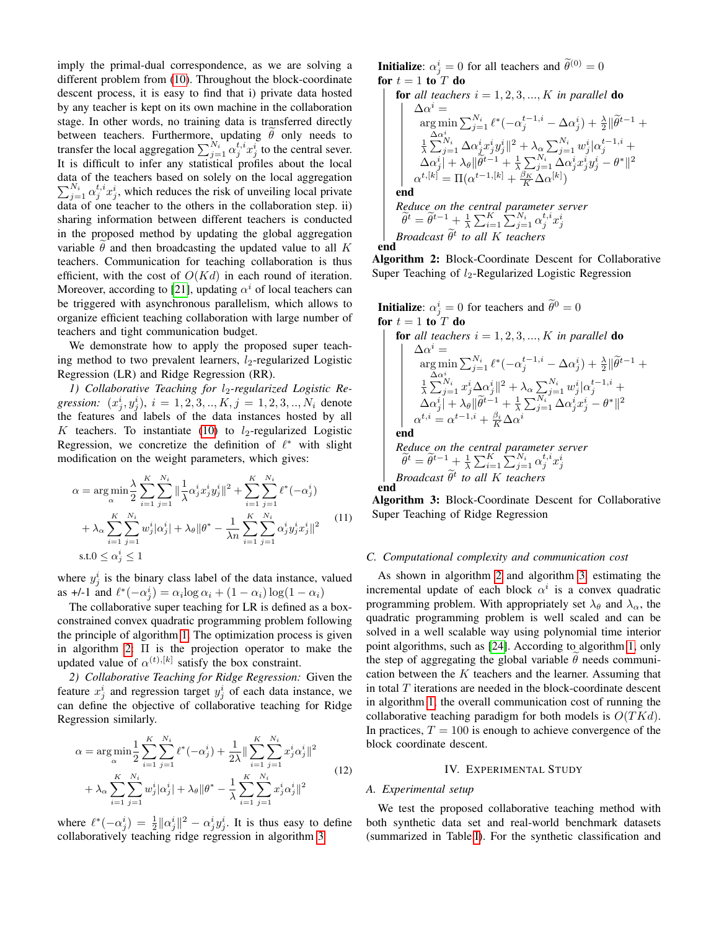imply the primal-dual correspondence, as we are solving a different problem from [\(10\)](#page-3-0). Throughout the block-coordinate descent process, it is easy to find that i) private data hosted by any teacher is kept on its own machine in the collaboration stage. In other words, no training data is transferred directly between teachers. Furthermore, updating  $\theta$  only needs to transfer the local aggregation  $\sum_{j=1}^{N_i} \alpha_j^{t,i} x_j^i$  to the central sever. It is difficult to infer any statistical profiles about the local data of the teachers based on solely on the local aggregation  $\sum_{j=1}^{N_i} \alpha_j^{t,i} x_j^i$ , which reduces the risk of unveiling local private data of one teacher to the others in the collaboration step. ii) sharing information between different teachers is conducted in the proposed method by updating the global aggregation variable  $\theta$  and then broadcasting the updated value to all K teachers. Communication for teaching collaboration is thus efficient, with the cost of  $O(Kd)$  in each round of iteration. Moreover, according to [\[21\]](#page-7-17), updating  $\alpha^{i}$  of local teachers can be triggered with asynchronous parallelism, which allows to organize efficient teaching collaboration with large number of teachers and tight communication budget.

We demonstrate how to apply the proposed super teaching method to two prevalent learners,  $l_2$ -regularized Logistic Regression (LR) and Ridge Regression (RR).

1) Collaborative Teaching for l<sub>2</sub>-regularized Logistic Re*gression:*  $(x_j^i, y_j^i)$ ,  $i = 1, 2, 3, ..., K$ ,  $j = 1, 2, 3, ..., N_i$  denote the features and labels of the data instances hosted by all K teachers. To instantiate [\(10\)](#page-3-0) to  $l_2$ -regularized Logistic Regression, we concretize the definition of  $\ell^*$  with slight modification on the weight parameters, which gives:

$$
\alpha = \arg\min_{\alpha} \frac{\lambda}{2} \sum_{i=1}^{K} \sum_{j=1}^{N_i} \|\frac{1}{\lambda} \alpha_j^i x_j^i y_j^i\|^2 + \sum_{i=1}^{K} \sum_{j=1}^{N_i} \ell^*(-\alpha_j^i) + \lambda_{\alpha} \sum_{i=1}^{K} \sum_{j=1}^{N_i} w_j^i |\alpha_j^i| + \lambda_{\theta} \|\theta^* - \frac{1}{\lambda n} \sum_{i=1}^{K} \sum_{j=1}^{N_i} \alpha_j^i y_j^i x_j^i\|^2
$$
\n
$$
\text{s.t.} 0 \le \alpha_j^i \le 1
$$
\n(11)

where  $y_j^i$  is the binary class label of the data instance, valued as +/-1 and  $\ell^*(-\alpha_j^i) = \alpha_i \log \alpha_i + (1 - \alpha_i) \log(1 - \alpha_i)$ 

The collaborative super teaching for LR is defined as a boxconstrained convex quadratic programming problem following the principle of algorithm [1.](#page-3-2) The optimization process is given in algorithm [2:](#page-4-0) Π is the projection operator to make the updated value of  $\alpha^{(t),[k]}$  satisfy the box constraint.

*2) Collaborative Teaching for Ridge Regression:* Given the feature  $x_j^i$  and regression target  $y_j^i$  of each data instance, we can define the objective of collaborative teaching for Ridge Regression similarly.

$$
\alpha = \argmin_{\alpha} \frac{1}{2} \sum_{i=1}^{K} \sum_{j=1}^{N_i} \ell^* (-\alpha_j^i) + \frac{1}{2\lambda} \|\sum_{i=1}^{K} \sum_{j=1}^{N_i} x_j^i \alpha_j^i\|^2
$$
  
+  $\lambda_{\alpha} \sum_{i=1}^{K} \sum_{j=1}^{N_i} w_j^i |\alpha_j^i| + \lambda_{\theta} \|\theta^* - \frac{1}{\lambda} \sum_{i=1}^{K} \sum_{j=1}^{N_i} x_j^i \alpha_j^i\|^2$  (12)

where  $\ell^*(-\alpha_j^i) = \frac{1}{2} ||\alpha_j^i||^2 - \alpha_j^i y_j^i$ . It is thus easy to define collaboratively teaching ridge regression in algorithm [3](#page-4-1)

<span id="page-4-0"></span>**Initialize:**  $\alpha_j^i = 0$  for all teachers and  $\hat{\theta}^{(0)} = 0$ for  $t = 1$  to  $T$  do

**for** all teachers 
$$
i = 1, 2, 3, ..., K
$$
 in parallel **do**  
\n
$$
\Delta \alpha^{i} = \underset{\Delta \alpha^{i}}{\arg \min} \sum_{j=1}^{N_{i}} \ell^{*}(-\alpha_{j}^{t-1,i} - \Delta \alpha_{j}^{i}) + \frac{\lambda}{2} ||\widetilde{\theta}^{t-1} + \frac{\lambda}{2} \sum_{j=1}^{N_{i}} \Delta \alpha_{j}^{i} x_{j}^{i} y_{j}^{i} ||^{2} + \lambda_{\alpha} \sum_{j=1}^{N_{i}} w_{j}^{i} |\alpha_{j}^{t-1,i} + \Delta \alpha_{j}^{i} | + \lambda_{\theta} ||\widetilde{\theta}^{t-1} + \frac{1}{2} \sum_{j=1}^{N_{i}} \Delta \alpha_{j}^{i} x_{j}^{i} y_{j}^{i} - \theta^{*} ||^{2}
$$
\n
$$
\alpha^{t,[k]} = \Pi(\alpha^{t-1,[k]} + \frac{\beta_{K}}{K} \Delta \alpha^{[k]})
$$
\n**end**\n**Reduce on the central parameter server**\n
$$
\widetilde{\theta}^{t} = \widetilde{\theta}^{t-1} + \frac{1}{2} \sum_{i=1}^{K} \sum_{j=1}^{N_{i}} \alpha_{j}^{t,i} x_{j}^{i}
$$
\n**Broadcast**\n
$$
\widetilde{\theta}^{t}
$$
\n**to all K teachers**

Algorithm 2: Block-Coordinate Descent for Collaborative Super Teaching of  $l_2$ -Regularized Logistic Regression

end

<span id="page-4-1"></span>**Initialize:** 
$$
\alpha_j^i = 0
$$
 for teachers and  $\tilde{\theta}^0 = 0$   
\n**for**  $t = 1$  **to**  $T$  **do**  
\n**for**  $dl$  teachers  $i = 1, 2, 3, ..., K$  in parallel **do**  
\n $\Delta \alpha^i =$   
\n $\Delta \alpha^i$   
\n $\Delta \alpha^i =$   
\n $\frac{1}{\lambda} \sum_{j=1}^{N_i} x_j^i \Delta \alpha_j^i ||^2 + \lambda_\alpha \sum_{j=1}^{N_i} w_j^i |\alpha_j^{t-1,i} +$   
\n $\Delta \alpha_j^i + \lambda_\theta ||\tilde{\theta}^{t-1} + \frac{1}{\lambda} \sum_{j=1}^{N_i} \Delta \alpha_j^i x_j^i - \theta^* ||^2$   
\n $\alpha^{t,i} = \alpha^{t-1,i} + \frac{\beta_i}{K} \Delta \alpha^i$   
\n**end**  
\n*Reduce on the central parameter server*  
\n $\tilde{\theta}^t = \tilde{\theta}^{t-1} + \frac{1}{\lambda} \sum_{i=1}^K \sum_{j=1}^{N_i} \alpha_j^i x_j^i$   
\n*Broadcast*  $\tilde{\theta}^t$  to all  $K$  teachers  
\n**end**

Algorithm 3: Block-Coordinate Descent for Collaborative Super Teaching of Ridge Regression

#### *C. Computational complexity and communication cost*

As shown in algorithm [2](#page-4-0) and algorithm [3,](#page-4-1) estimating the incremental update of each block  $\alpha^i$  is a convex quadratic programming problem. With appropriately set  $\lambda_{\theta}$  and  $\lambda_{\alpha}$ , the quadratic programming problem is well scaled and can be solved in a well scalable way using polynomial time interior point algorithms, such as [\[24\]](#page-7-20). According to algorithm [1,](#page-3-2) only the step of aggregating the global variable  $\theta$  needs communication between the  $K$  teachers and the learner. Assuming that in total  $T$  iterations are needed in the block-coordinate descent in algorithm [1,](#page-3-2) the overall communication cost of running the collaborative teaching paradigm for both models is  $O(TKd)$ . In practices,  $T = 100$  is enough to achieve convergence of the block coordinate descent.

#### IV. EXPERIMENTAL STUDY

#### *A. Experimental setup*

We test the proposed collaborative teaching method with both synthetic data set and real-world benchmark datasets (summarized in Table[.I\)](#page-5-0). For the synthetic classification and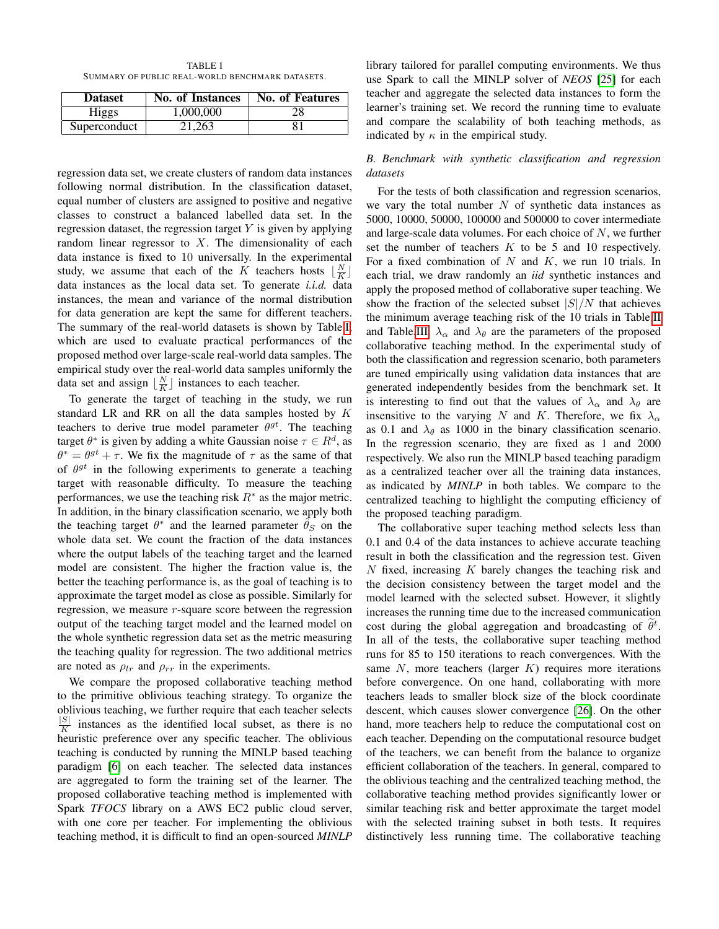<span id="page-5-0"></span>TABLE I SUMMARY OF PUBLIC REAL-WORLD BENCHMARK DATASETS.

| <b>Dataset</b> | <b>No. of Instances</b> | <b>No. of Features</b> |  |  |  |  |
|----------------|-------------------------|------------------------|--|--|--|--|
| <b>Higgs</b>   | 1.000.000               | 28                     |  |  |  |  |
| Superconduct   | 21.263                  | 81                     |  |  |  |  |

regression data set, we create clusters of random data instances following normal distribution. In the classification dataset, equal number of clusters are assigned to positive and negative classes to construct a balanced labelled data set. In the regression dataset, the regression target  $Y$  is given by applying random linear regressor to  $X$ . The dimensionality of each data instance is fixed to 10 universally. In the experimental study, we assume that each of the K teachers hosts  $\lfloor \frac{N}{K} \rfloor$ data instances as the local data set. To generate *i.i.d.* data instances, the mean and variance of the normal distribution for data generation are kept the same for different teachers. The summary of the real-world datasets is shown by Table[.I,](#page-5-0) which are used to evaluate practical performances of the proposed method over large-scale real-world data samples. The empirical study over the real-world data samples uniformly the data set and assign  $\lfloor \frac{N}{K} \rfloor$  instances to each teacher.

To generate the target of teaching in the study, we run standard LR and RR on all the data samples hosted by K teachers to derive true model parameter  $\theta^{gt}$ . The teaching target  $\theta^*$  is given by adding a white Gaussian noise  $\tau \in R^d$ , as  $\theta^* = \theta^{gt} + \tau$ . We fix the magnitude of  $\tau$  as the same of that of  $\theta^{gt}$  in the following experiments to generate a teaching target with reasonable difficulty. To measure the teaching performances, we use the teaching risk  $R^*$  as the major metric. In addition, in the binary classification scenario, we apply both the teaching target  $\theta^*$  and the learned parameter  $\hat{\theta}_S$  on the whole data set. We count the fraction of the data instances where the output labels of the teaching target and the learned model are consistent. The higher the fraction value is, the better the teaching performance is, as the goal of teaching is to approximate the target model as close as possible. Similarly for regression, we measure  $r$ -square score between the regression output of the teaching target model and the learned model on the whole synthetic regression data set as the metric measuring the teaching quality for regression. The two additional metrics are noted as  $\rho_{lr}$  and  $\rho_{rr}$  in the experiments.

We compare the proposed collaborative teaching method to the primitive oblivious teaching strategy. To organize the oblivious teaching, we further require that each teacher selects  $|S|$  $\frac{S}{K}$  instances as the identified local subset, as there is no heuristic preference over any specific teacher. The oblivious teaching is conducted by running the MINLP based teaching paradigm [\[6\]](#page-7-2) on each teacher. The selected data instances are aggregated to form the training set of the learner. The proposed collaborative teaching method is implemented with Spark *TFOCS* library on a AWS EC2 public cloud server, with one core per teacher. For implementing the oblivious teaching method, it is difficult to find an open-sourced *MINLP*

library tailored for parallel computing environments. We thus use Spark to call the MINLP solver of *NEOS* [\[25\]](#page-7-21) for each teacher and aggregate the selected data instances to form the learner's training set. We record the running time to evaluate and compare the scalability of both teaching methods, as indicated by  $\kappa$  in the empirical study.

*B. Benchmark with synthetic classification and regression datasets*

For the tests of both classification and regression scenarios, we vary the total number  $N$  of synthetic data instances as 5000, 10000, 50000, 100000 and 500000 to cover intermediate and large-scale data volumes. For each choice of N, we further set the number of teachers  $K$  to be 5 and 10 respectively. For a fixed combination of  $N$  and  $K$ , we run 10 trials. In each trial, we draw randomly an *iid* synthetic instances and apply the proposed method of collaborative super teaching. We show the fraction of the selected subset  $|S|/N$  that achieves the minimum average teaching risk of the 10 trials in Table[.II](#page-6-0) and Table[.III.](#page-6-1)  $\lambda_{\alpha}$  and  $\lambda_{\theta}$  are the parameters of the proposed collaborative teaching method. In the experimental study of both the classification and regression scenario, both parameters are tuned empirically using validation data instances that are generated independently besides from the benchmark set. It is interesting to find out that the values of  $\lambda_{\alpha}$  and  $\lambda_{\theta}$  are insensitive to the varying N and K. Therefore, we fix  $\lambda_{\alpha}$ as 0.1 and  $\lambda_{\theta}$  as 1000 in the binary classification scenario. In the regression scenario, they are fixed as 1 and 2000 respectively. We also run the MINLP based teaching paradigm as a centralized teacher over all the training data instances, as indicated by *MINLP* in both tables. We compare to the centralized teaching to highlight the computing efficiency of the proposed teaching paradigm.

The collaborative super teaching method selects less than 0.1 and 0.4 of the data instances to achieve accurate teaching result in both the classification and the regression test. Given  $N$  fixed, increasing  $K$  barely changes the teaching risk and the decision consistency between the target model and the model learned with the selected subset. However, it slightly increases the running time due to the increased communication cost during the global aggregation and broadcasting of  $\theta^t$ . In all of the tests, the collaborative super teaching method runs for 85 to 150 iterations to reach convergences. With the same  $N$ , more teachers (larger  $K$ ) requires more iterations before convergence. On one hand, collaborating with more teachers leads to smaller block size of the block coordinate descent, which causes slower convergence [\[26\]](#page-7-22). On the other hand, more teachers help to reduce the computational cost on each teacher. Depending on the computational resource budget of the teachers, we can benefit from the balance to organize efficient collaboration of the teachers. In general, compared to the oblivious teaching and the centralized teaching method, the collaborative teaching method provides significantly lower or similar teaching risk and better approximate the target model with the selected training subset in both tests. It requires distinctively less running time. The collaborative teaching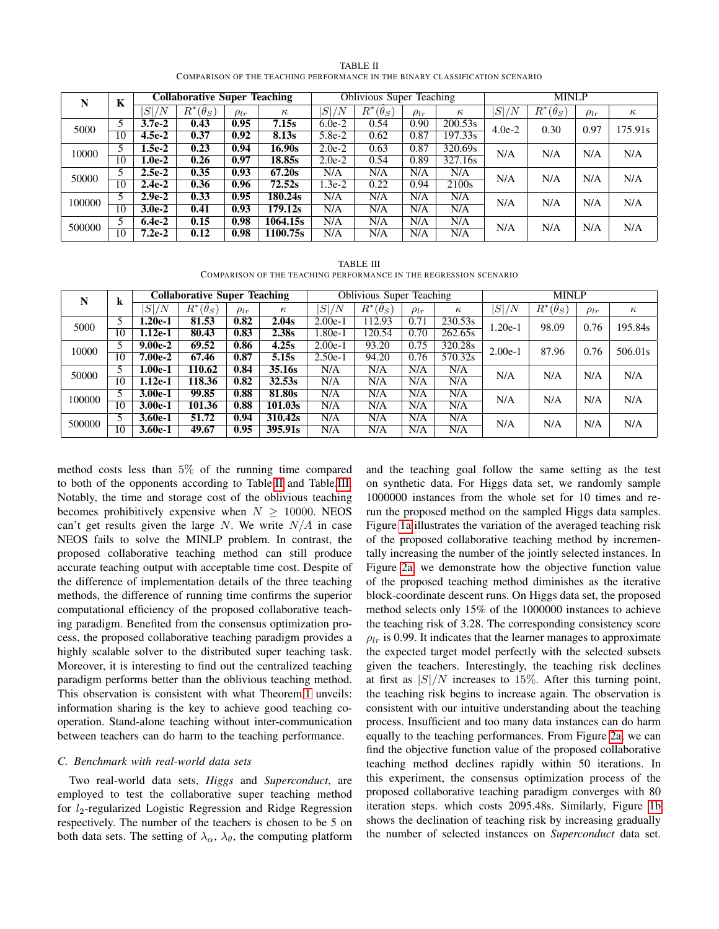<span id="page-6-0"></span>

| N      | K  | <b>Collaborative Super Teaching</b> |                       |             |          | <b>Oblivious Super Teaching</b> |                       |             |          | <b>MINLP</b> |                                       |             |          |
|--------|----|-------------------------------------|-----------------------|-------------|----------|---------------------------------|-----------------------|-------------|----------|--------------|---------------------------------------|-------------|----------|
|        |    | S<br>$\sqrt{N}$                     | $R^*$<br>$(\theta_S)$ | $\rho_{lr}$ | $\kappa$ | S /N                            | $R^*(\hat{\theta}_S)$ | $\rho_{lr}$ | $\kappa$ | S /N         | $R^*$<br>$^{\cdot}(\hat{\theta}_{S})$ | $\rho_{lr}$ | $\kappa$ |
| 5000   |    | $3.7e-2$                            | 0.43                  | 0.95        | 7.15s    | $6.0e-2$                        | 0.54                  | 0.90        | 200.53s  | $4.0e-2$     | 0.30                                  | 0.97        | 175.91s  |
|        | 10 | $4.5e-2$                            | 0.37                  | 0.92        | 8.13s    | $5.8e-2$                        | 0.62                  | 0.87        | 197.33s  |              |                                       |             |          |
| 10000  |    | $.5e-2$                             | 0.23                  | 0.94        | 16.90s   | $2.0e-2$                        | 0.63                  | 0.87        | 320.69s  | N/A          | N/A                                   | N/A         | N/A      |
|        | 10 | 1.0e-2                              | 0.26                  | 0.97        | 18.85s   | $2.0e-2$                        | 0.54                  | 0.89        | 327.16s  |              |                                       |             |          |
| 50000  |    | $2.5e-2$                            | 0.35                  | 0.93        | 67.20s   | N/A                             | N/A                   | N/A         | N/A      | N/A          | N/A                                   | N/A         | N/A      |
|        | 10 | $2.4e-2$                            | 0.36                  | 0.96        | 72.52s   | 1.3e-2                          | 0.22                  | 0.94        | 2100s    |              |                                       |             |          |
| 100000 | 5  | $2.9e-2$                            | 0.33                  | 0.95        | 180.24s  | N/A                             | N/A                   | N/A         | N/A      | N/A          | N/A                                   | N/A         | N/A      |
|        | 10 | $3.0e-2$                            | 0.41                  | 0.93        | 179.12s  | N/A                             | N/A                   | N/A         | N/A      |              |                                       |             |          |
| 500000 | 5  | $6.4e-2$                            | 0.15                  | 0.98        | 1064.15s | N/A                             | N/A                   | N/A         | N/A      | N/A          | N/A                                   | N/A         | N/A      |
|        | 10 | $7.2e-2$                            | 0.12                  | 0.98        | 1100.75s | N/A                             | N/A                   | N/A         | N/A      |              |                                       |             |          |

TABLE II COMPARISON OF THE TEACHING PERFORMANCE IN THE BINARY CLASSIFICATION SCENARIO

TABLE III COMPARISON OF THE TEACHING PERFORMANCE IN THE REGRESSION SCENARIO

<span id="page-6-1"></span>

| N      | k  |           | <b>Collaborative Super Teaching</b> |             |          |           | <b>Oblivious Super Teaching</b> |             |          | <b>MINLP</b> |                 |             |          |
|--------|----|-----------|-------------------------------------|-------------|----------|-----------|---------------------------------|-------------|----------|--------------|-----------------|-------------|----------|
|        |    | S /N      | $R^*(\theta_S)$                     | $\rho_{lr}$ | $\kappa$ | S /N      | $R^*(\theta_S)$                 | $\rho_{lr}$ | $\kappa$ | S /N         | $R^*(\theta_S)$ | $\rho_{lr}$ | $\kappa$ |
| 5000   |    | $.20e-1$  | 81.53                               | 0.82        | 2.04s    | $2.00e-1$ | 12.93                           | 0.71        | 230.53s  | $.20e-1$     | 98.09           | 0.76        | 195.84s  |
|        | 10 | $1.12e-1$ | 80.43                               | 0.83        | 2.38s    | $.80e-1$  | 120.54                          | 0.70        | 262.65s  |              |                 |             |          |
| 10000  |    | $9.00e-2$ | 69.52                               | 0.86        | 4.25s    | $2.00e-1$ | 93.20                           | 0.75        | 320.28s  | $2.00e-1$    | 87.96           | 0.76        | 506.01s  |
|        | 10 | 7.00e-2   | 67.46                               | 0.87        | 5.15s    | $2.50e-1$ | 94.20                           | 0.76        | 570.32s  |              |                 |             |          |
| 50000  |    | $1.00e-1$ | 10.62                               | 0.84        | 35.16s   | N/A       | N/A                             | N/A         | N/A      | N/A          | N/A             | N/A         | N/A      |
|        | 10 | $1.12e-1$ | 18.36                               | 0.82        | 32.53s   | N/A       | N/A                             | N/A         | N/A      |              |                 |             |          |
| 100000 | 5  | $3.00e-1$ | 99.85                               | 0.88        | 81.80s   | N/A       | N/A                             | N/A         | N/A      | N/A          | N/A             | N/A         | N/A      |
|        | 10 | $3.00e-1$ | 101.36                              | 0.88        | 101.03s  | N/A       | N/A                             | N/A         | N/A      |              |                 |             |          |
| 500000 | 5  | $3.60e-1$ | 51.72                               | 0.94        | 310.42s  | N/A       | N/A                             | N/A         | N/A      | N/A          | N/A             | N/A         | N/A      |
|        | 10 | $3.60e-1$ | 49.67                               | 0.95        | 395.91s  | N/A       | N/A                             | N/A         | N/A      |              |                 |             |          |

method costs less than 5% of the running time compared to both of the opponents according to Table[.II](#page-6-0) and Table[.III.](#page-6-1) Notably, the time and storage cost of the oblivious teaching becomes prohibitively expensive when  $N \ge 10000$ . NEOS can't get results given the large N. We write  $N/A$  in case NEOS fails to solve the MINLP problem. In contrast, the proposed collaborative teaching method can still produce accurate teaching output with acceptable time cost. Despite of the difference of implementation details of the three teaching methods, the difference of running time confirms the superior computational efficiency of the proposed collaborative teaching paradigm. Benefited from the consensus optimization process, the proposed collaborative teaching paradigm provides a highly scalable solver to the distributed super teaching task. Moreover, it is interesting to find out the centralized teaching paradigm performs better than the oblivious teaching method. This observation is consistent with what Theorem[.1](#page-2-1) unveils: information sharing is the key to achieve good teaching cooperation. Stand-alone teaching without inter-communication between teachers can do harm to the teaching performance.

# *C. Benchmark with real-world data sets*

Two real-world data sets, *Higgs* and *Superconduct*, are employed to test the collaborative super teaching method for  $l_2$ -regularized Logistic Regression and Ridge Regression respectively. The number of the teachers is chosen to be 5 on both data sets. The setting of  $\lambda_{\alpha}$ ,  $\lambda_{\theta}$ , the computing platform and the teaching goal follow the same setting as the test on synthetic data. For Higgs data set, we randomly sample 1000000 instances from the whole set for 10 times and rerun the proposed method on the sampled Higgs data samples. Figure [1a](#page-7-23) illustrates the variation of the averaged teaching risk of the proposed collaborative teaching method by incrementally increasing the number of the jointly selected instances. In Figure [2a,](#page-7-24) we demonstrate how the objective function value of the proposed teaching method diminishes as the iterative block-coordinate descent runs. On Higgs data set, the proposed method selects only 15% of the 1000000 instances to achieve the teaching risk of 3.28. The corresponding consistency score  $\rho_{lr}$  is 0.99. It indicates that the learner manages to approximate the expected target model perfectly with the selected subsets given the teachers. Interestingly, the teaching risk declines at first as  $|S|/N$  increases to 15%. After this turning point, the teaching risk begins to increase again. The observation is consistent with our intuitive understanding about the teaching process. Insufficient and too many data instances can do harm equally to the teaching performances. From Figure [2a,](#page-7-24) we can find the objective function value of the proposed collaborative teaching method declines rapidly within 50 iterations. In this experiment, the consensus optimization process of the proposed collaborative teaching paradigm converges with 80 iteration steps. which costs 2095.48s. Similarly, Figure [1b](#page-7-25) shows the declination of teaching risk by increasing gradually the number of selected instances on *Superconduct* data set.